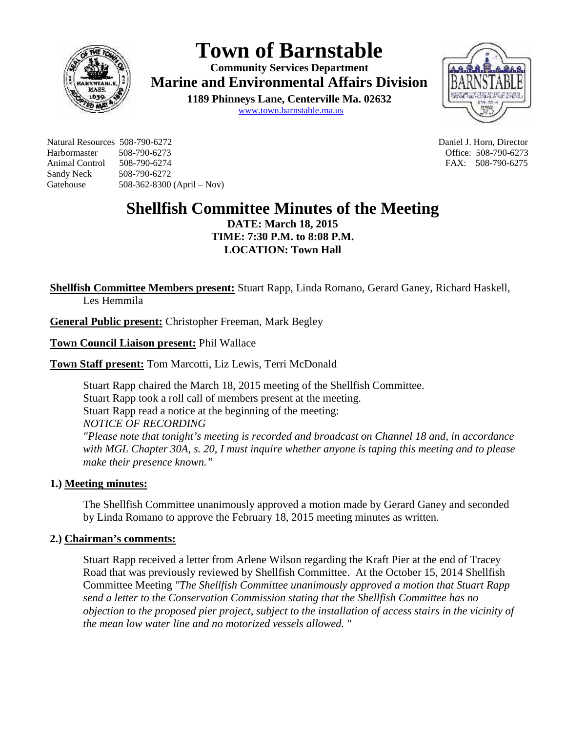

# **Town of Barnstable**

**Community Services Department Marine and Environmental Affairs Division 1189 Phinneys Lane, Centerville Ma. 02632** www.town.barnstable.ma.us



Natural Resources 508-790-6272 Daniel J. Horn, Director Harbormaster 508-790-6273 Office: 508-790-6273 Animal Control 508-790-6274 FAX: 508-790-6275 Sandy Neck 508-790-6272 Gatehouse 508-362-8300 (April – Nov)

# **Shellfish Committee Minutes of the Meeting**

**DATE: March 18, 2015 TIME: 7:30 P.M. to 8:08 P.M. LOCATION: Town Hall**

**Shellfish Committee Members present:** Stuart Rapp, Linda Romano, Gerard Ganey, Richard Haskell, Les Hemmila

**General Public present:** Christopher Freeman, Mark Begley

**Town Council Liaison present:** Phil Wallace

**Town Staff present:** Tom Marcotti, Liz Lewis, Terri McDonald

Stuart Rapp chaired the March 18, 2015 meeting of the Shellfish Committee. Stuart Rapp took a roll call of members present at the meeting. Stuart Rapp read a notice at the beginning of the meeting: *NOTICE OF RECORDING "Please note that tonight's meeting is recorded and broadcast on Channel 18 and, in accordance with MGL Chapter 30A, s. 20, I must inquire whether anyone is taping this meeting and to please make their presence known."*

# **1.) Meeting minutes:**

The Shellfish Committee unanimously approved a motion made by Gerard Ganey and seconded by Linda Romano to approve the February 18, 2015 meeting minutes as written.

#### **2.) Chairman's comments:**

Stuart Rapp received a letter from Arlene Wilson regarding the Kraft Pier at the end of Tracey Road that was previously reviewed by Shellfish Committee. At the October 15, 2014 Shellfish Committee Meeting *"The Shellfish Committee unanimously approved a motion that Stuart Rapp send a letter to the Conservation Commission stating that the Shellfish Committee has no objection to the proposed pier project, subject to the installation of access stairs in the vicinity of the mean low water line and no motorized vessels allowed.* "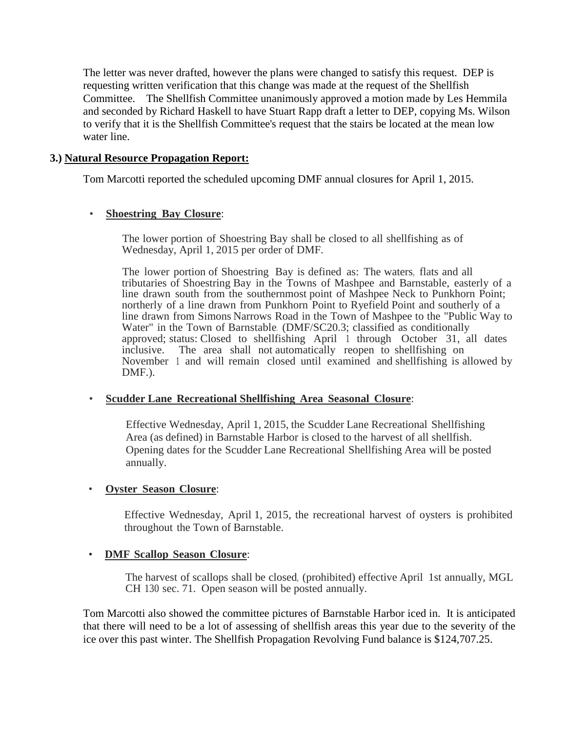The letter was never drafted, however the plans were changed to satisfy this request. DEP is requesting written verification that this change was made at the request of the Shellfish Committee. The Shellfish Committee unanimously approved a motion made by Les Hemmila and seconded by Richard Haskell to have Stuart Rapp draft a letter to DEP, copying Ms. Wilson to verify that it is the Shellfish Committee's request that the stairs be located at the mean low water line.

#### **3.) Natural Resource Propagation Report:**

Tom Marcotti reported the scheduled upcoming DMF annual closures for April 1, 2015.

#### • **Shoestring Bay Closure**:

The lower portion of Shoestring Bay shall be closed to all shellfishing as of Wednesday, April 1, 2015 per order of DMF.

The lower portion of Shoestring Bay is defined as:The waters, flats and all tributaries of Shoestring Bay in the Towns of Mashpee and Barnstable, easterly of a line drawn south from the southernmost point of Mashpee Neck to Punkhorn Point; northerly of a line drawn from Punkhorn Point to Ryefield Point and southerly of a line drawn from Simons Narrows Road in the Town of Mashpee to the "Public Way to Water" in the Town of Barnstable. (DMF/SC20.3; classified as conditionally approved; status: Closed to shellfishing April 1 through October 31, all dates inclusive. The area shall not automatically reopen to shellfishing on November <sup>1</sup> and will remain closed until examined and shellfishing is allowed by DMF.).

# • **Scudder Lane Recreational Shellfishing Area Seasonal Closure**:

Effective Wednesday, April 1, 2015, the Scudder Lane Recreational Shellfishing Area (as defined) in Barnstable Harbor is closed to the harvest of all shellfish. Opening dates for the Scudder Lane Recreational Shellfishing Area will be posted annually.

#### • **Oyster Season Closure**:

Effective Wednesday, April 1, 2015, the recreational harvest of oysters is prohibited throughout the Town of Barnstable.

# • **DMF Scallop Season Closure**:

The harvest of scallops shall be closed, (prohibited) effective April 1st annually, MGL CH 130 sec.71. Open season will be posted annually.

Tom Marcotti also showed the committee pictures of Barnstable Harbor iced in. It is anticipated that there will need to be a lot of assessing of shellfish areas this year due to the severity of the ice over this past winter. The Shellfish Propagation Revolving Fund balance is \$124,707.25.